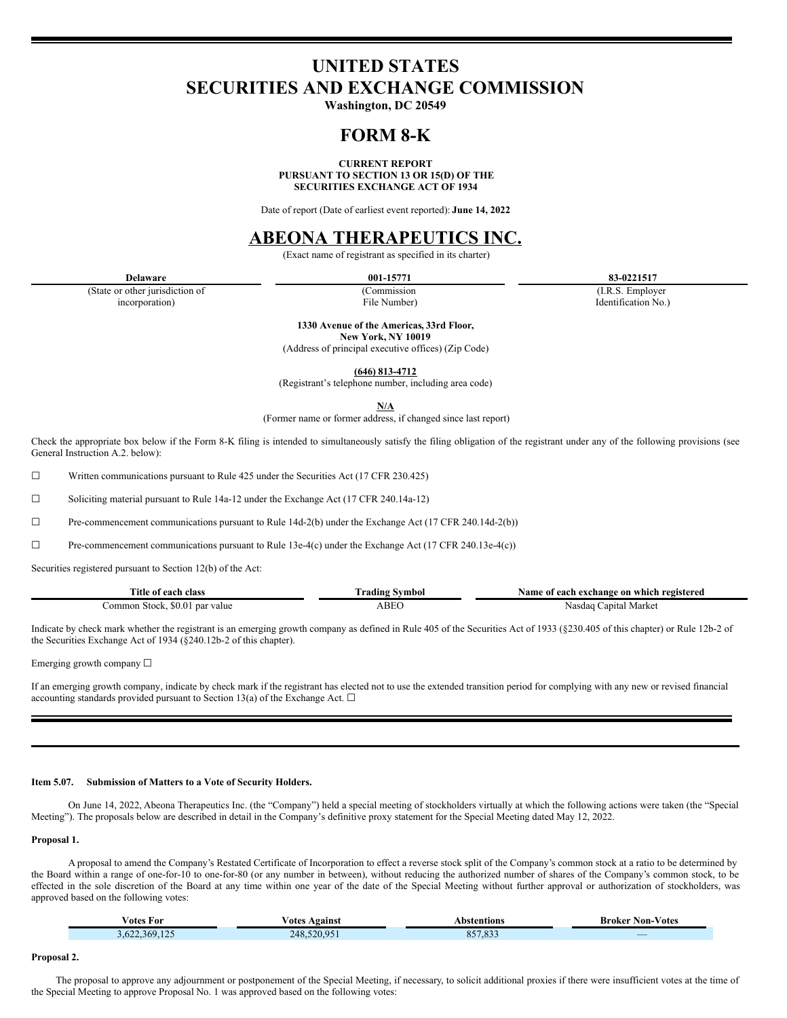# **UNITED STATES SECURITIES AND EXCHANGE COMMISSION**

**Washington, DC 20549**

## **FORM 8-K**

**CURRENT REPORT PURSUANT TO SECTION 13 OR 15(D) OF THE SECURITIES EXCHANGE ACT OF 1934**

Date of report (Date of earliest event reported): **June 14, 2022**

### **ABEONA THERAPEUTICS INC.**

(Exact name of registrant as specified in its charter)

(State or other jurisdiction of incorporation)

(Commission

**Delaware 001-15771 83-0221517**

(I.R.S. Employer Identification No.)

File Number) **1330 Avenue of the Americas, 33rd Floor,**

**New York, NY 10019**

(Address of principal executive offices) (Zip Code)

**(646) 813-4712**

(Registrant's telephone number, including area code)

**N/A**

(Former name or former address, if changed since last report)

Check the appropriate box below if the Form 8-K filing is intended to simultaneously satisfy the filing obligation of the registrant under any of the following provisions (see General Instruction A.2. below):

 $\Box$  Written communications pursuant to Rule 425 under the Securities Act (17 CFR 230.425)

 $\Box$  Soliciting material pursuant to Rule 14a-12 under the Exchange Act (17 CFR 240.14a-12)

☐ Pre-commencement communications pursuant to Rule 14d-2(b) under the Exchange Act (17 CFR 240.14d-2(b))

☐ Pre-commencement communications pursuant to Rule 13e-4(c) under the Exchange Act (17 CFR 240.13e-4(c))

Securities registered pursuant to Section 12(b) of the Act:

| Title of each class                      | $\sim$<br>rading <br>Svmbol | Name of each exchange on which registered |
|------------------------------------------|-----------------------------|-------------------------------------------|
| n Stock. \$0.01<br>`ommon<br>l par value | <b>ABEC</b>                 | Market<br>Nasdac<br>Capital               |

Indicate by check mark whether the registrant is an emerging growth company as defined in Rule 405 of the Securities Act of 1933 (§230.405 of this chapter) or Rule 12b-2 of the Securities Exchange Act of 1934 (§240.12b-2 of this chapter).

Emerging growth company ☐

If an emerging growth company, indicate by check mark if the registrant has elected not to use the extended transition period for complying with any new or revised financial accounting standards provided pursuant to Section 13(a) of the Exchange Act.  $\Box$ 

#### **Item 5.07. Submission of Matters to a Vote of Security Holders.**

On June 14, 2022, Abeona Therapeutics Inc. (the "Company") held a special meeting of stockholders virtually at which the following actions were taken (the "Special Meeting"). The proposals below are described in detail in the Company's definitive proxy statement for the Special Meeting dated May 12, 2022.

**Proposal 1.**

A proposal to amend the Company's Restated Certificate of Incorporation to effect a reverse stock split of the Company's common stock at a ratio to be determined by the Board within a range of one-for-10 to one-for-80 (or any number in between), without reducing the authorized number of shares of the Company's common stock, to be effected in the sole discretion of the Board at any time within one year of the date of the Special Meeting without further approval or authorization of stockholders, was approved based on the following votes:

| √otes For              | ⁄ otes<br>Against | Abstentions         | <b>Non-Votes</b><br>Broker |
|------------------------|-------------------|---------------------|----------------------------|
| 622 369 125<br>3.622.3 | 520.951<br>248.5  | 0.57.022<br>827.833 | _                          |

**Proposal 2.**

The proposal to approve any adjournment or postponement of the Special Meeting, if necessary, to solicit additional proxies if there were insufficient votes at the time of the Special Meeting to approve Proposal No. 1 was approved based on the following votes: